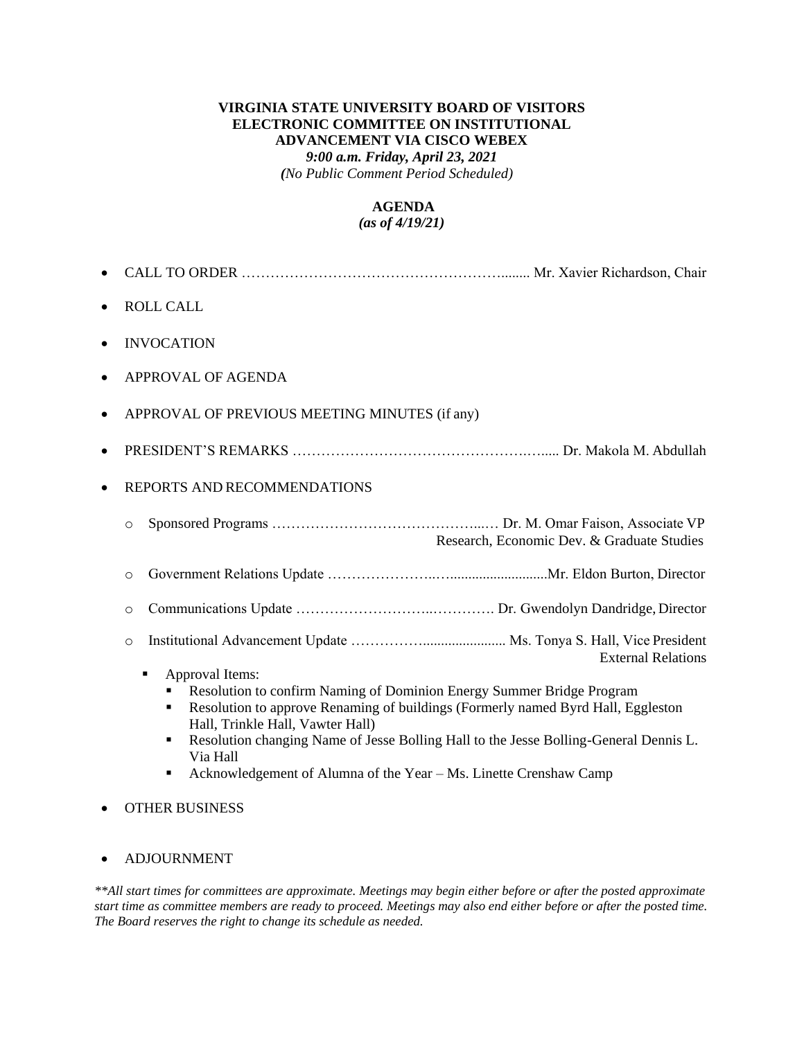# **VIRGINIA STATE UNIVERSITY BOARD OF VISITORS ELECTRONIC COMMITTEE ON INSTITUTIONAL ADVANCEMENT VIA CISCO WEBEX** *9:00 a.m. Friday, April 23, 2021 (No Public Comment Period Scheduled)*

## **AGENDA** *(as of 4/19/21)*

# • CALL TO ORDER ………………………………………………........ Mr. Xavier Richardson, Chair • ROLL CALL • INVOCATION • APPROVAL OF AGENDA • APPROVAL OF PREVIOUS MEETING MINUTES (if any) • PRESIDENT'S REMARKS ………………………………………….…..... Dr. Makola M. Abdullah • REPORTS AND RECOMMENDATIONS o Sponsored Programs ……………………………………...… Dr. M. Omar Faison, Associate VP Research, Economic Dev. & Graduate Studies o Government Relations Update …………………..…...........................Mr. Eldon Burton, Director o Communications Update ………………………..…………. Dr. Gwendolyn Dandridge, Director o Institutional Advancement Update ……………....................... Ms. Tonya S. Hall, Vice President External Relations ■ Approval Items: ■ Resolution to confirm Naming of Dominion Energy Summer Bridge Program **• Resolution to approve Renaming of buildings (Formerly named Byrd Hall, Eggleston** Hall, Trinkle Hall, Vawter Hall)

- Resolution changing Name of Jesse Bolling Hall to the Jesse Bolling-General Dennis L. Via Hall
- Acknowledgement of Alumna of the Year Ms. Linette Crenshaw Camp
- OTHER BUSINESS

# • ADJOURNMENT

*\*\*All start times for committees are approximate. Meetings may begin either before or after the posted approximate start time as committee members are ready to proceed. Meetings may also end either before or after the posted time. The Board reserves the right to change its schedule as needed.*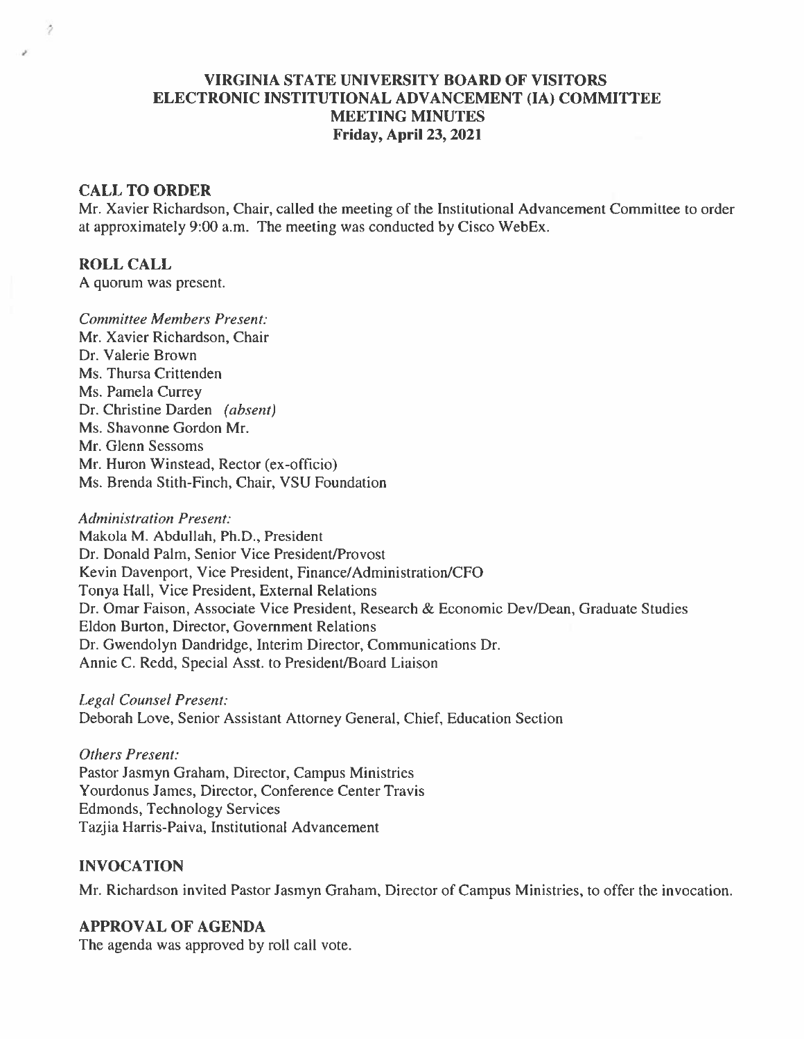# **VIRGINIA STATE UNIVERSITY BOARD OF VISITORS** ELECTRONIC INSTITUTIONAL ADVANCEMENT (IA) COMMITTEE **MEETING MINUTES Friday, April 23, 2021**

## **CALL TO ORDER**

Mr. Xavier Richardson, Chair, called the meeting of the Institutional Advancement Committee to order at approximately 9:00 a.m. The meeting was conducted by Cisco WebEx.

# **ROLL CALL**

Ž

A quorum was present.

**Committee Members Present:** Mr. Xavier Richardson, Chair Dr. Valerie Brown Ms. Thursa Crittenden Ms. Pamela Currey Dr. Christine Darden (absent) Ms. Shavonne Gordon Mr. Mr. Glenn Sessoms Mr. Huron Winstead, Rector (ex-officio) Ms. Brenda Stith-Finch, Chair, VSU Foundation

**Administration Present:** Makola M. Abdullah, Ph.D., President Dr. Donald Palm, Senior Vice President/Provost Kevin Davenport, Vice President, Finance/Administration/CFO Tonya Hall, Vice President, External Relations Dr. Omar Faison, Associate Vice President, Research & Economic Dev/Dean, Graduate Studies Eldon Burton, Director, Government Relations Dr. Gwendolyn Dandridge, Interim Director, Communications Dr. Annie C. Redd, Special Asst. to President/Board Liaison

**Legal Counsel Present:** Deborah Love, Senior Assistant Attorney General, Chief, Education Section

**Others Present:** Pastor Jasmyn Graham, Director, Campus Ministries Yourdonus James, Director, Conference Center Travis **Edmonds, Technology Services** Tazjia Harris-Paiva, Institutional Advancement

## **INVOCATION**

Mr. Richardson invited Pastor Jasmyn Graham, Director of Campus Ministries, to offer the invocation.

### **APPROVAL OF AGENDA**

The agenda was approved by roll call vote.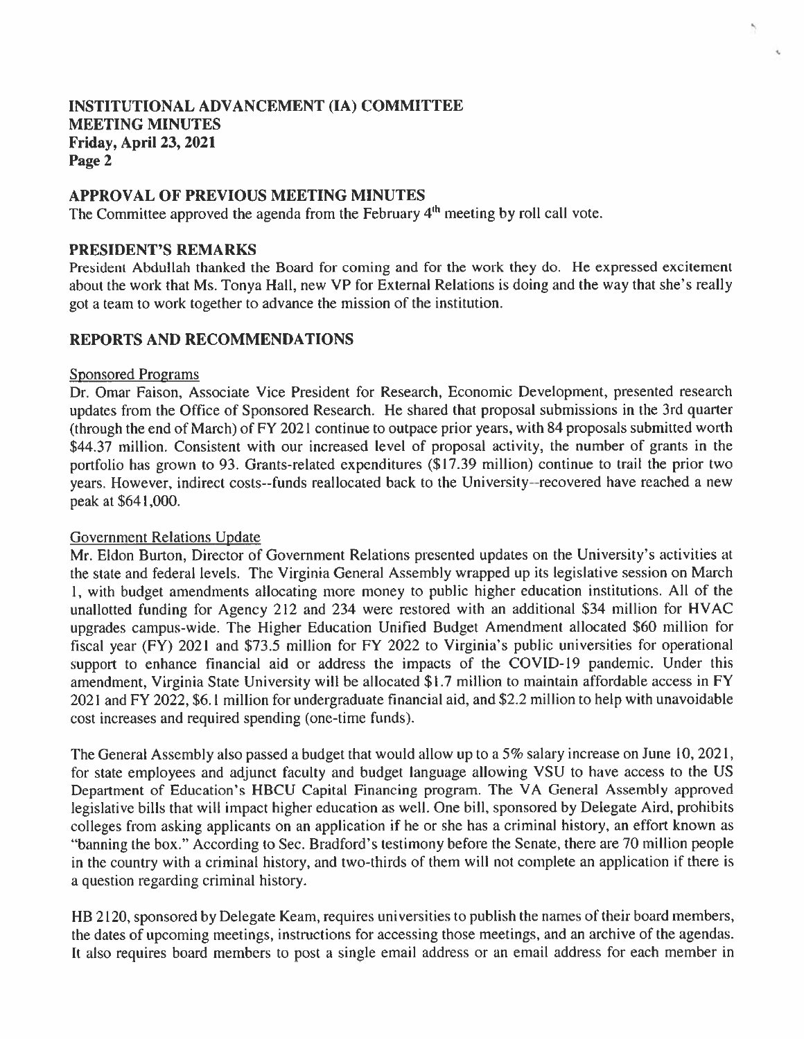## **APPROVAL OF PREVIOUS MEETING MINUTES**

The Committee approved the agenda from the February 4<sup>th</sup> meeting by roll call vote.

## PRESIDENT'S REMARKS

President Abdullah thanked the Board for coming and for the work they do. He expressed excitement about the work that Ms. Tonya Hall, new VP for External Relations is doing and the way that she's really got a team to work together to advance the mission of the institution.

# **REPORTS AND RECOMMENDATIONS**

#### **Sponsored Programs**

Dr. Omar Faison, Associate Vice President for Research, Economic Development, presented research updates from the Office of Sponsored Research. He shared that proposal submissions in the 3rd quarter (through the end of March) of FY 2021 continue to outpace prior years, with 84 proposals submitted worth \$44.37 million. Consistent with our increased level of proposal activity, the number of grants in the portfolio has grown to 93. Grants-related expenditures (\$17.39 million) continue to trail the prior two years. However, indirect costs--funds reallocated back to the University--recovered have reached a new peak at \$641,000.

## **Government Relations Update**

Mr. Eldon Burton, Director of Government Relations presented updates on the University's activities at the state and federal levels. The Virginia General Assembly wrapped up its legislative session on March 1, with budget amendments allocating more money to public higher education institutions. All of the unallotted funding for Agency 212 and 234 were restored with an additional \$34 million for HVAC upgrades campus-wide. The Higher Education Unified Budget Amendment allocated \$60 million for fiscal year (FY) 2021 and \$73.5 million for FY 2022 to Virginia's public universities for operational support to enhance financial aid or address the impacts of the COVID-19 pandemic. Under this amendment, Virginia State University will be allocated \$1.7 million to maintain affordable access in FY 2021 and FY 2022, \$6.1 million for undergraduate financial aid, and \$2.2 million to help with unavoidable cost increases and required spending (one-time funds).

The General Assembly also passed a budget that would allow up to a 5% salary increase on June 10, 2021, for state employees and adjunct faculty and budget language allowing VSU to have access to the US Department of Education's HBCU Capital Financing program. The VA General Assembly approved legislative bills that will impact higher education as well. One bill, sponsored by Delegate Aird, prohibits colleges from asking applicants on an application if he or she has a criminal history, an effort known as "banning the box." According to Sec. Bradford's testimony before the Senate, there are 70 million people in the country with a criminal history, and two-thirds of them will not complete an application if there is a question regarding criminal history.

HB 2120, sponsored by Delegate Keam, requires universities to publish the names of their board members, the dates of upcoming meetings, instructions for accessing those meetings, and an archive of the agendas. It also requires board members to post a single email address or an email address for each member in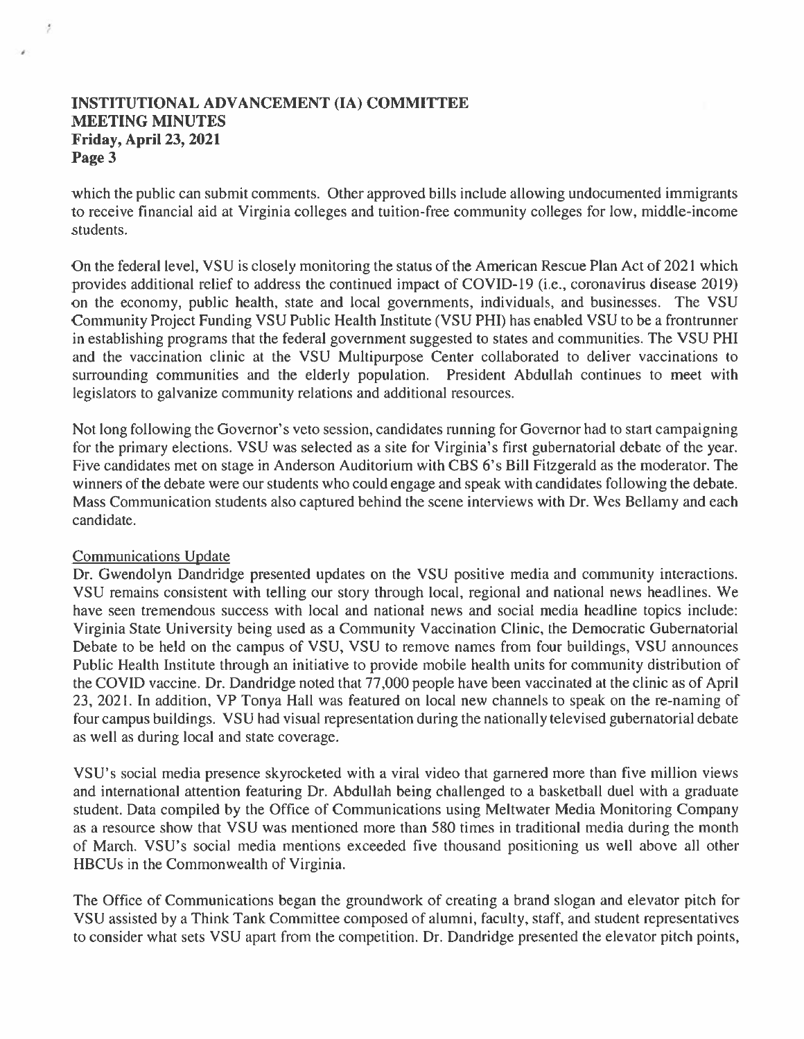which the public can submit comments. Other approved bills include allowing undocumented immigrants to receive financial aid at Virginia colleges and tuition-free community colleges for low, middle-income students.

On the federal level, VSU is closely monitoring the status of the American Rescue Plan Act of 2021 which provides additional relief to address the continued impact of COVID-19 (i.e., coronavirus disease 2019) on the economy, public health, state and local governments, individuals, and businesses. The VSU Community Project Funding VSU Public Health Institute (VSU PHI) has enabled VSU to be a frontrunner in establishing programs that the federal government suggested to states and communities. The VSU PHI and the vaccination clinic at the VSU Multipurpose Center collaborated to deliver vaccinations to surrounding communities and the elderly population. President Abdullah continues to meet with legislators to galvanize community relations and additional resources.

Not long following the Governor's veto session, candidates running for Governor had to start campaigning for the primary elections. VSU was selected as a site for Virginia's first gubernatorial debate of the year. Five candidates met on stage in Anderson Auditorium with CBS 6's Bill Fitzgerald as the moderator. The winners of the debate were our students who could engage and speak with candidates following the debate. Mass Communication students also captured behind the scene interviews with Dr. Wes Bellamy and each candidate.

# **Communications Update**

Dr. Gwendolyn Dandridge presented updates on the VSU positive media and community interactions. VSU remains consistent with telling our story through local, regional and national news headlines. We have seen tremendous success with local and national news and social media headline topics include: Virginia State University being used as a Community Vaccination Clinic, the Democratic Gubernatorial Debate to be held on the campus of VSU, VSU to remove names from four buildings, VSU announces Public Health Institute through an initiative to provide mobile health units for community distribution of the COVID vaccine. Dr. Dandridge noted that 77,000 people have been vaccinated at the clinic as of April 23, 2021. In addition, VP Tonya Hall was featured on local new channels to speak on the re-naming of four campus buildings. VSU had visual representation during the nationally televised gubernatorial debate as well as during local and state coverage.

VSU's social media presence skyrocketed with a viral video that garnered more than five million views and international attention featuring Dr. Abdullah being challenged to a basketball duel with a graduate student. Data compiled by the Office of Communications using Meltwater Media Monitoring Company as a resource show that VSU was mentioned more than 580 times in traditional media during the month of March. VSU's social media mentions exceeded five thousand positioning us well above all other HBCUs in the Commonwealth of Virginia.

The Office of Communications began the groundwork of creating a brand slogan and elevator pitch for VSU assisted by a Think Tank Committee composed of alumni, faculty, staff, and student representatives to consider what sets VSU apart from the competition. Dr. Dandridge presented the elevator pitch points,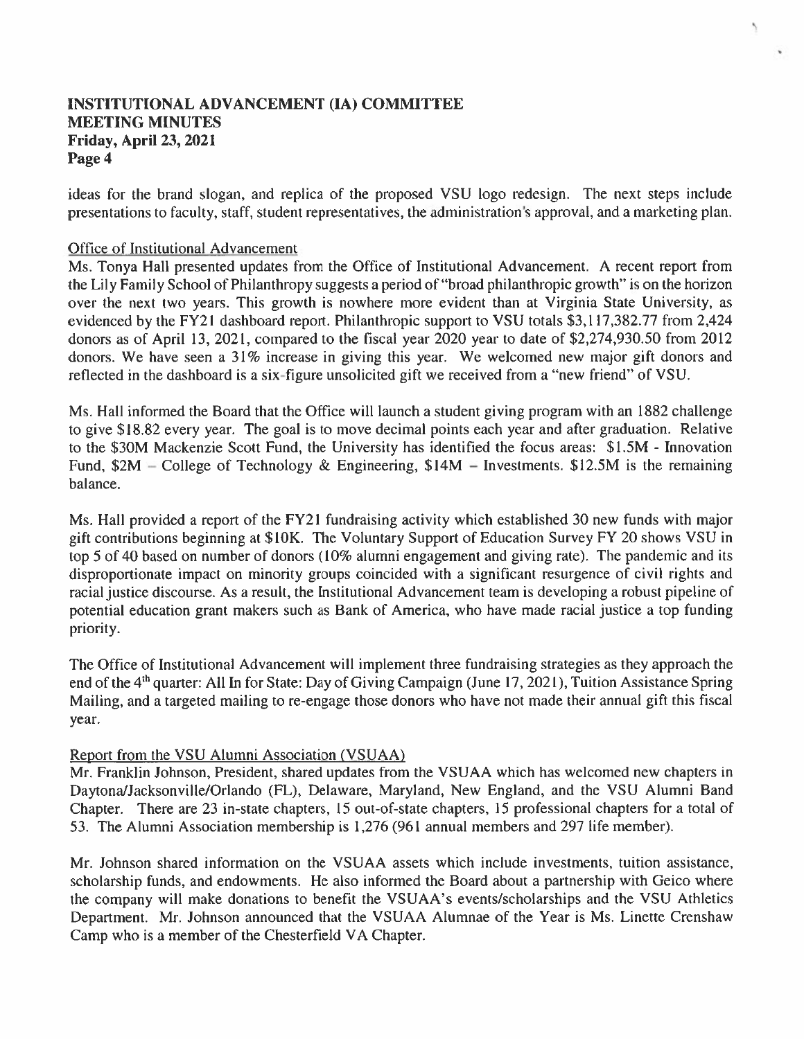ideas for the brand slogan, and replica of the proposed VSU logo redesign. The next steps include presentations to faculty, staff, student representatives, the administration's approval, and a marketing plan.

## Office of Institutional Advancement

Ms. Tonya Hall presented updates from the Office of Institutional Advancement. A recent report from the Lily Family School of Philanthropy suggests a period of "broad philanthropic growth" is on the horizon over the next two years. This growth is nowhere more evident than at Virginia State University, as evidenced by the FY21 dashboard report. Philanthropic support to VSU totals \$3,117,382.77 from 2,424 donors as of April 13, 2021, compared to the fiscal year 2020 year to date of \$2,274,930.50 from 2012 donors. We have seen a 31% increase in giving this year. We welcomed new major gift donors and reflected in the dashboard is a six-figure unsolicited gift we received from a "new friend" of VSU.

Ms. Hall informed the Board that the Office will launch a student giving program with an 1882 challenge to give \$18.82 every year. The goal is to move decimal points each year and after graduation. Relative to the \$30M Mackenzie Scott Fund, the University has identified the focus areas: \$1.5M - Innovation Fund,  $$2M$  – College of Technology & Engineering,  $$14M$  – Investments.  $$12.5M$  is the remaining balance.

Ms. Hall provided a report of the FY21 fundraising activity which established 30 new funds with major gift contributions beginning at \$10K. The Voluntary Support of Education Survey FY 20 shows VSU in top 5 of 40 based on number of donors (10% alumni engagement and giving rate). The pandemic and its disproportionate impact on minority groups coincided with a significant resurgence of civil rights and racial justice discourse. As a result, the Institutional Advancement team is developing a robust pipeline of potential education grant makers such as Bank of America, who have made racial justice a top funding priority.

The Office of Institutional Advancement will implement three fundraising strategies as they approach the end of the 4<sup>th</sup> quarter: All In for State: Day of Giving Campaign (June 17, 2021), Tuition Assistance Spring Mailing, and a targeted mailing to re-engage those donors who have not made their annual gift this fiscal year.

# Report from the VSU Alumni Association (VSUAA)

Mr. Franklin Johnson, President, shared updates from the VSUAA which has welcomed new chapters in Daytona/Jacksonville/Orlando (FL), Delaware, Maryland, New England, and the VSU Alumni Band Chapter. There are 23 in-state chapters, 15 out-of-state chapters, 15 professional chapters for a total of 53. The Alumni Association membership is 1,276 (961 annual members and 297 life member).

Mr. Johnson shared information on the VSUAA assets which include investments, tuition assistance, scholarship funds, and endowments. He also informed the Board about a partnership with Geico where the company will make donations to benefit the VSUAA's events/scholarships and the VSU Athletics Department. Mr. Johnson announced that the VSUAA Alumnae of the Year is Ms. Linette Crenshaw Camp who is a member of the Chesterfield VA Chapter.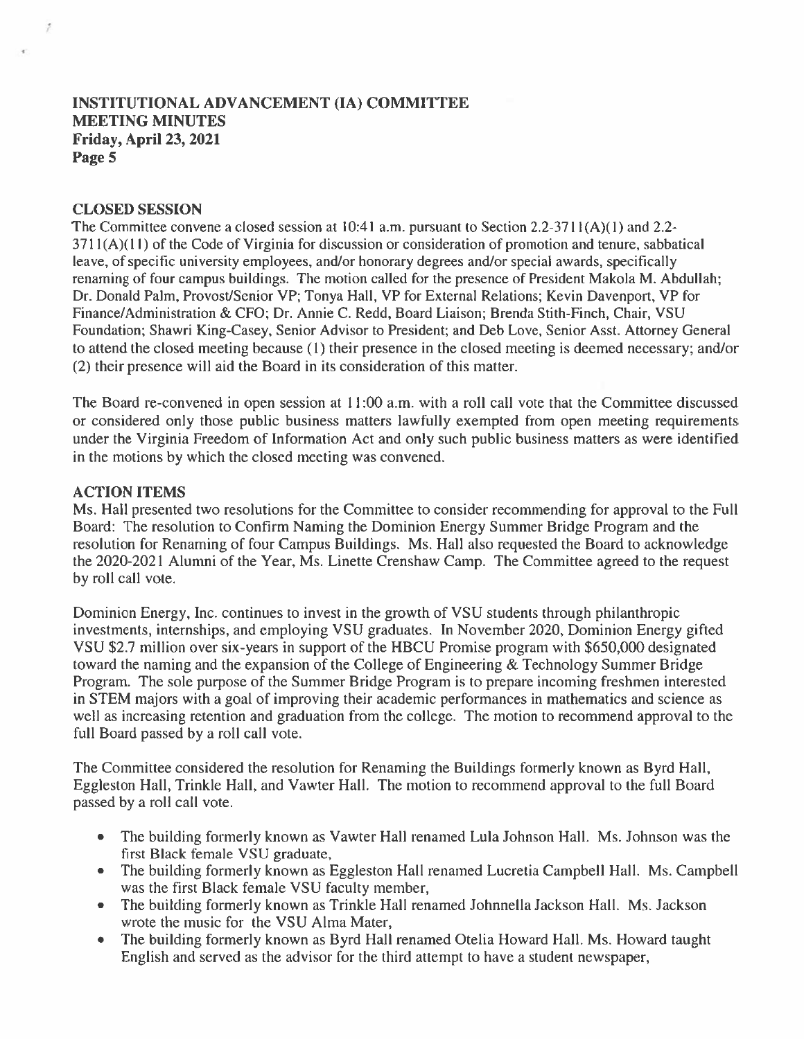## **CLOSED SESSION**

The Committee convene a closed session at 10:41 a.m. pursuant to Section 2.2-3711(A)(1) and 2.2- $3711(A)(11)$  of the Code of Virginia for discussion or consideration of promotion and tenure, sabbatical leave, of specific university employees, and/or honorary degrees and/or special awards, specifically renaming of four campus buildings. The motion called for the presence of President Makola M. Abdullah; Dr. Donald Palm, Provost/Senior VP; Tonya Hall, VP for External Relations; Kevin Davenport, VP for Finance/Administration & CFO; Dr. Annie C. Redd, Board Liaison; Brenda Stith-Finch, Chair, VSU Foundation; Shawri King-Casey, Senior Advisor to President; and Deb Love, Senior Asst. Attorney General to attend the closed meeting because (1) their presence in the closed meeting is deemed necessary; and/or (2) their presence will aid the Board in its consideration of this matter.

The Board re-convened in open session at 11:00 a.m. with a roll call vote that the Committee discussed or considered only those public business matters lawfully exempted from open meeting requirements under the Virginia Freedom of Information Act and only such public business matters as were identified in the motions by which the closed meeting was convened.

## **ACTION ITEMS**

Ms. Hall presented two resolutions for the Committee to consider recommending for approval to the Full Board: The resolution to Confirm Naming the Dominion Energy Summer Bridge Program and the resolution for Renaming of four Campus Buildings. Ms. Hall also requested the Board to acknowledge the 2020-2021 Alumni of the Year, Ms. Linette Crenshaw Camp. The Committee agreed to the request by roll call vote.

Dominion Energy, Inc. continues to invest in the growth of VSU students through philanthropic investments, internships, and employing VSU graduates. In November 2020, Dominion Energy gifted VSU \$2.7 million over six-years in support of the HBCU Promise program with \$650,000 designated toward the naming and the expansion of the College of Engineering & Technology Summer Bridge Program. The sole purpose of the Summer Bridge Program is to prepare incoming freshmen interested in STEM majors with a goal of improving their academic performances in mathematics and science as well as increasing retention and graduation from the college. The motion to recommend approval to the full Board passed by a roll call vote.

The Committee considered the resolution for Renaming the Buildings formerly known as Byrd Hall, Eggleston Hall, Trinkle Hall, and Vawter Hall. The motion to recommend approval to the full Board passed by a roll call vote.

- The building formerly known as Vawter Hall renamed Lula Johnson Hall. Ms. Johnson was the first Black female VSU graduate,
- The building formerly known as Eggleston Hall renamed Lucretia Campbell Hall. Ms. Campbell was the first Black female VSU faculty member,
- The building formerly known as Trinkle Hall renamed Johnnella Jackson Hall. Ms. Jackson wrote the music for the VSU Alma Mater,
- The building formerly known as Byrd Hall renamed Otelia Howard Hall. Ms. Howard taught English and served as the advisor for the third attempt to have a student newspaper,